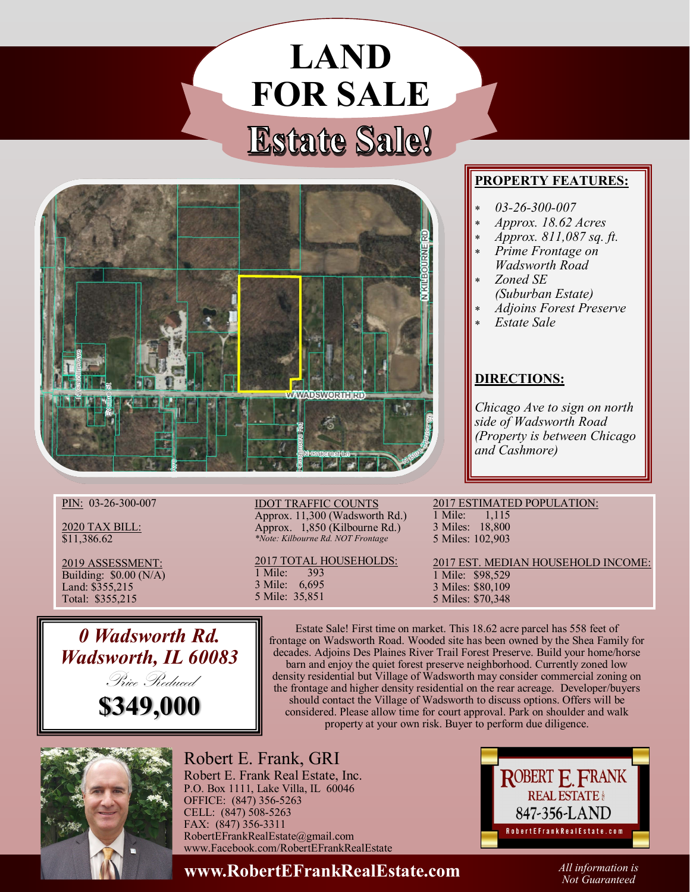## **LAND FOR SALE Estate Sale!**



## **PROPERTY FEATURES:**

- *03-26-300-007*
- *Approx. 18.62 Acres*
- *Approx. 811,087 sq. ft.*
- *Prime Frontage on Wadsworth Road*
- *Zoned SE*
- *(Suburban Estate)*
- *Adjoins Forest Preserve*
- *Estate Sale*

## **DIRECTIONS:**

2017 ESTIMATED POPULATION:

1 Mile: 1,115 3 Miles: 18,800 5 Miles: 102,903

*Chicago Ave to sign on north side of Wadsworth Road (Property is between Chicago and Cashmore)*

PIN: 03-26-300-007

2020 TAX BILL:  $$11,386.62$ 

2019 ASSESSMENT: Building:  $$0.00(N/A)$ Land: \$355,215 Total: \$355,215

IDOT TRAFFIC COUNTS Approx. 11,300 (Wadsworth Rd.) Approx. 1,850 (Kilbourne Rd.) *\*Note: Kilbourne Rd. NOT Frontage*

2017 TOTAL HOUSEHOLDS: 1 Mile: 393 3 Mile: 6,695 5 Mile: 35,851

2017 EST. MEDIAN HOUSEHOLD INCOME: 1 Mile: \$98,529 3 Miles: \$80,109 5 Miles: \$70,348



Estate Sale! First time on market. This 18.62 acre parcel has 558 feet of frontage on Wadsworth Road. Wooded site has been owned by the Shea Family for decades. Adjoins Des Plaines River Trail Forest Preserve. Build your home/horse barn and enjoy the quiet forest preserve neighborhood. Currently zoned low density residential but Village of Wadsworth may consider commercial zoning on the frontage and higher density residential on the rear acreage. Developer/buyers should contact the Village of Wadsworth to discuss options. Offers will be considered. Please allow time for court approval. Park on shoulder and walk property at your own risk. Buyer to perform due diligence.



Robert E. Frank, GRI Robert E. Frank Real Estate, Inc. P.O. Box 1111, Lake Villa, IL 60046 OFFICE: (847) 356-5263 CELL: (847) 508-5263 FAX: (847) 356-3311 RobertEFrankRealEstate@gmail.com www.Facebook.com/RobertEFrankRealEstate



**www.RobertEFrankRealEstate.com** *All information is Not Guaranteed*